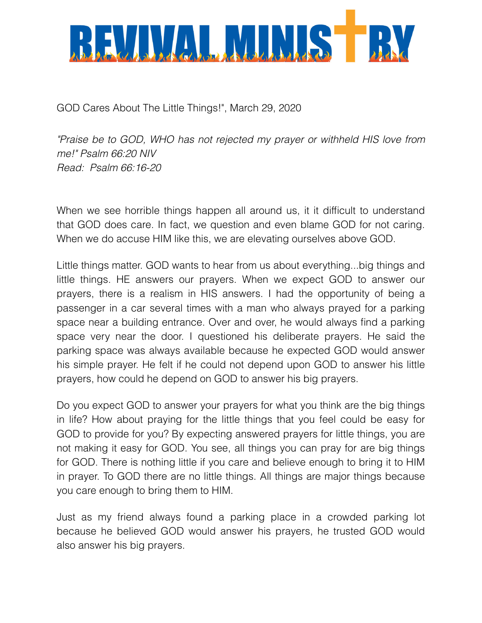

GOD Cares About The Little Things!", March 29, 2020

*"Praise be to GOD, WHO has not rejected my prayer or withheld HIS love from me!" Psalm 66:20 NIV Read: Psalm 66:16-20* 

When we see horrible things happen all around us, it it difficult to understand that GOD does care. In fact, we question and even blame GOD for not caring. When we do accuse HIM like this, we are elevating ourselves above GOD.

Little things matter. GOD wants to hear from us about everything...big things and little things. HE answers our prayers. When we expect GOD to answer our prayers, there is a realism in HIS answers. I had the opportunity of being a passenger in a car several times with a man who always prayed for a parking space near a building entrance. Over and over, he would always find a parking space very near the door. I questioned his deliberate prayers. He said the parking space was always available because he expected GOD would answer his simple prayer. He felt if he could not depend upon GOD to answer his little prayers, how could he depend on GOD to answer his big prayers.

Do you expect GOD to answer your prayers for what you think are the big things in life? How about praying for the little things that you feel could be easy for GOD to provide for you? By expecting answered prayers for little things, you are not making it easy for GOD. You see, all things you can pray for are big things for GOD. There is nothing little if you care and believe enough to bring it to HIM in prayer. To GOD there are no little things. All things are major things because you care enough to bring them to HIM.

Just as my friend always found a parking place in a crowded parking lot because he believed GOD would answer his prayers, he trusted GOD would also answer his big prayers.